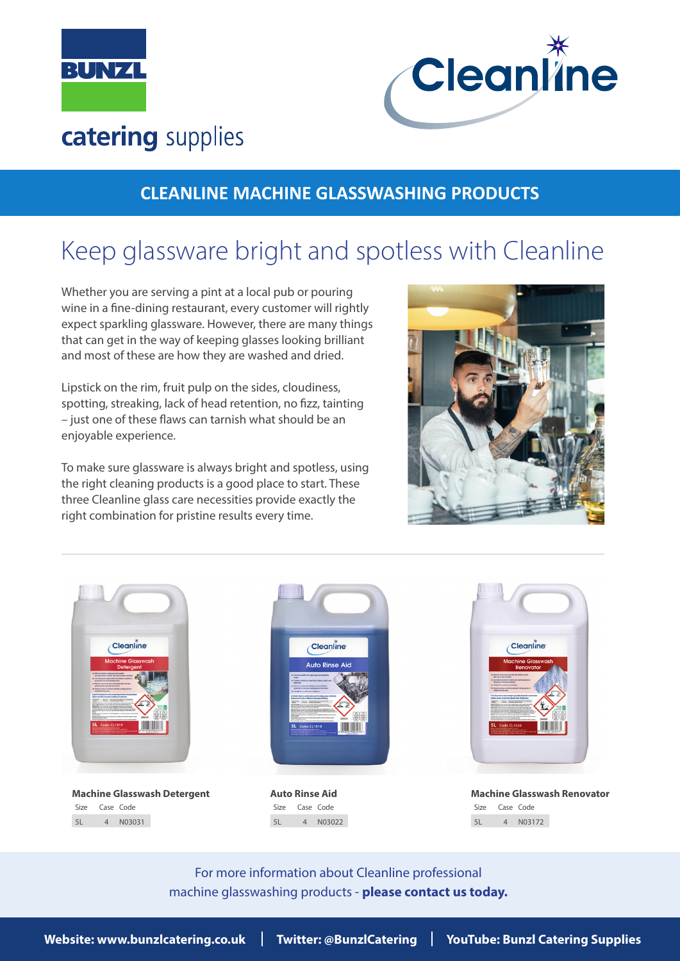



## catering supplies

## **CLEANLINE MACHINE GLASSWASHING PRODUCTS**

# Keep glassware bright and spotless with Cleanline

Whether you are serving a pint at a local pub or pouring wine in a fine-dining restaurant, every customer will rightly expect sparkling glassware. However, there are many things that can get in the way of keeping glasses looking brilliant and most of these are how they are washed and dried.

Lipstick on the rim, fruit pulp on the sides, cloudiness, spotting, streaking, lack of head retention, no fizz, tainting – just one of these flaws can tarnish what should be an enjoyable experience.

To make sure glassware is always bright and spotless, using the right cleaning products is a good place to start. These three Cleanline glass care necessities provide exactly the right combination for pristine results every time.









Size Case Code 5L 4 N03022



Size Case Code 5L 4 N03172

For more information about Cleanline professional machine glasswashing products - **please contact us today.**